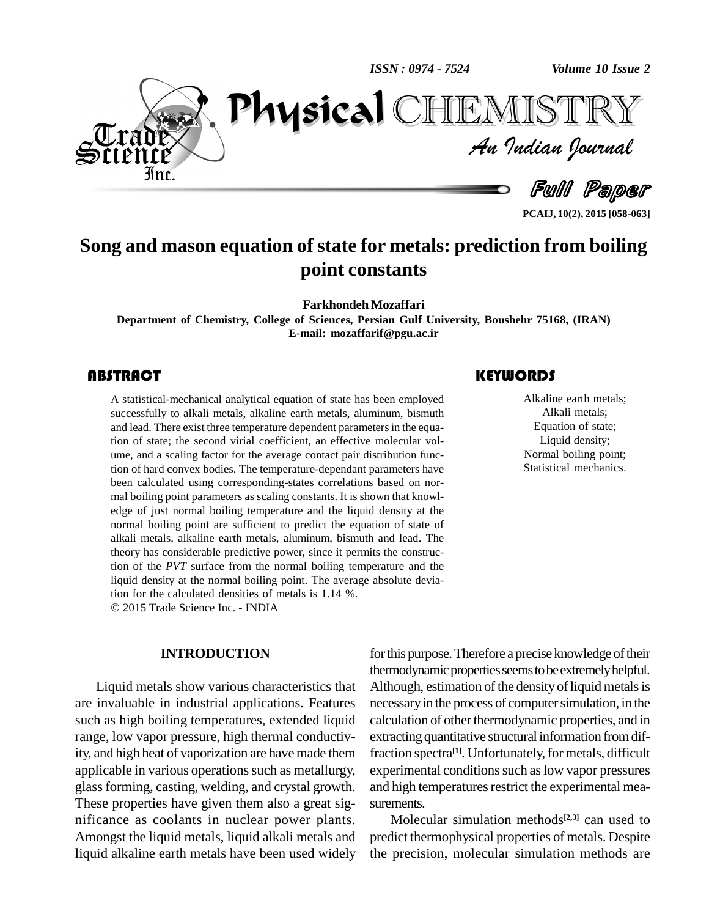*ISSN : 0974 - 7524*

*Volume 10 Issue 2*



*Volume 10 Issue 2*<br>IISTRY<br>*Indian Iournal* PhysicalHEMISTF

Full Paper

**PCAIJ, 10(2), 2015 [058-063]**

## **Song and mason equation of state for metals: prediction from boiling point constants**

**Farkhondeh Mozaffari**

**Department of Chemistry, College of Sciences, Persian Gulf University, Boushehr 75168, (IRAN) E-mail: [mozaffarif@pgu.ac.ir](mailto:mozaffarif@pgu.ac.ir)**

### **ABSTRACT**

A statistical-mechanical<br>successfully to alkali m<br>and lead. There exist thre A statistical-mechanical analytical equation of state has been employed successfully to alkali metals, alkaline earth metals, aluminum, bismuth and lead. There exist three temperature dependent parameters in the equation of state; the second virial coefficient, an effective molecular volume, and a scaling factor for the average contact pair distribution function of hard convex bodies. The temperature-dependant parameters have been calculated using corresponding-states correlations based on nor mal boiling point parameters as scaling constants. It is shown that knowl edge of just normal boiling temperature and the liquid density at the normal boiling point are sufficient to predict the equation of state of alkali metals, alkaline earth metals, aluminum, bismuth and lead. The theory has considerable predictive power, since it permits the construction of the *PVT* surface from the normal boiling temperature and the liquid density at the normal boiling point. The average absolute devia-tion for the calculated densities of metals is 1.14 %. 2015 Trade Science Inc. - INDIA

#### **INTRODUCTION**

Liquid metals show various characteristics that are invaluable in industrial applications. Features such as high boiling temperatures, extended liquid range, low vapor pressure, high thermal conductivity, and high heat of vaporization are have made them applicable in various operations such as metallurgy, glassforming, casting, welding, and crystal growth. These properties have given them also a great sig nificance as coolants in nuclear power plants. Amongst the liquid metals, liquid alkali metals and liquid alkaline earth metals have been used widely

for this purpose. Therefore a precise knowledge of their thermodynamic properties seems to be extremely helpful. Although, estimation of the density of liquid metals is necessary in the process of computer simulation, in the calculation of other thermodynamic properties, and in extracting quantitative structural information from diffraction spectra<sup>[1]</sup>. Unfortunately, for metals, difficult experimental conditions such as low vapor pressures and high temperatures restrict the experimental measurements.

Molecular simulation methods **[2,3]** can used to predict thermophysical properties of metals. Despite the precision, molecular simulation methods are

### **KEYWORDS**

Alkaline earth metals;<br>Alkali metals;<br>Equation of state; Alkaline earth metals; Alkali metals; Liquid density; Normal boiling point; Statistical mechanics.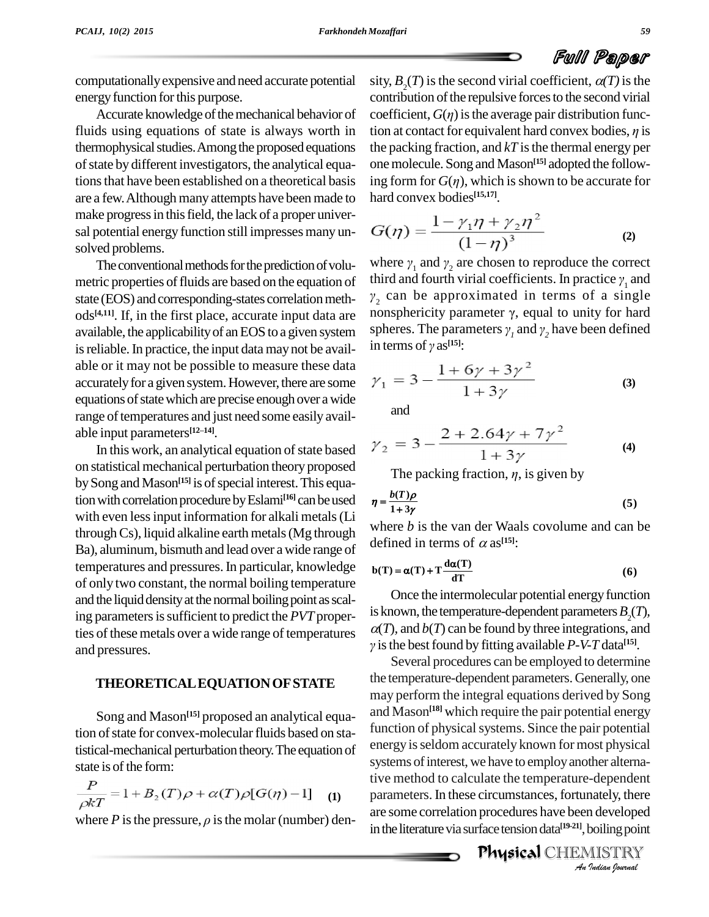computationallyexpensive and need accurate potential energy function for this purpose.

Accurate knowledge of the mechanical behavior of thermophysical studies. Among the proposed equations of state by different investigators, the analytical equaare a few.Although many attempts have been made to make progress in this field, the lack of a proper universal potential energy function still impresses many unsolved problems.

The conventional methods for the prediction of volumetric properties of fluids are based on the equation of state (EOS) and corresponding-states correlation meth-<br>ods<sup>[4,11]</sup> If in the first place, accurate input data are nonsphericity parameter  $\gamma$ , equal to unity for hard ods<sup>[4,11]</sup>. If, in the first place, accurate input data are nonsp available, the applicabilityof anEOS to a given system is reliable. In practice, the input data may not be available or it may not be possible to measure these data accurately for a given system. However, there are some equations of state which are precise enough over a wide range of temperatures and just need some easily available input parameters<sup>[12-14]</sup>. able input parameters<sup>[12-14]</sup>.

In this work, an analytical equation of state based on statistical mechanical perturbation theory proposed by Song and Mason<sup>[15]</sup> is of special interest. This equation with correlation procedure by Eslami<sup>[16]</sup> can be used  $\eta = \frac{b(1)}{1-c}$ with even lessinput information for alkali metals(Li throughCs), liquid alkaline earth metals(Mg through Ba), aluminum, bismuth and lead over a wide range of temperatures and pressures. In particular, knowledge of only two constant, the normal boiling temperature and the liquid density at the normal boiling point as scaling parameters is sufficient to predict the *PVT* properties of these metals over a wide range of temperatures and pressures.

#### **THEORETICALEQUATIONOFSTATE**

Song and Mason **[15]** proposed an analytical equation of state for convex-molecular fluids based on statistical-mechanical perturbation theory.The equation of state is of the form:

$$
\frac{P}{\rho kT} = 1 + B_2(T)\rho + \alpha(T)\rho[G(\eta) - 1] \tag{1}
$$

where  $P$  is the pressure,  $\rho$  is the molar (number) den-

fluids using equations of state is always worth in tion at contact for equivalent hard convex bodies,  $\eta$  is tions that have been established on a theoretical basis ing form for  $G(\eta)$ , which is shown to be accurate for sity,  $B_2(T)$  is the second virial coefficient,  $\alpha(T)$  is the contribution of the repulsive forces to the second virial coefficient,  $G(\eta)$  is the average pair distribution funccontribution of the repulsive forces to the second virial coefficient,  $G(\eta)$  is the average pair distribution functhe packing fraction, and  $kT$  is the thermal energy per one molecule. Song and Mason<sup>[15]</sup> adopted the followthe packing fraction, and  $kT$  is the thermal energy per<br>one molecule. Song and Mason<sup>[15]</sup> adopted the follow-<br>ing form for  $G(\eta)$ , which is shown to be accurate for hard convex bodies **[15,17]**.

$$
G(\eta) = \frac{1 - \gamma_1 \eta + \gamma_2 \eta^2}{(1 - \eta)^3}
$$
 (2)  
where  $\gamma_1$  and  $\gamma_2$  are chosen to reproduce the correct

where  $\gamma_1$  and  $\gamma_2$  are chosen to reproduce the correct<br>third and fourth virial coefficients. In practice  $\gamma_1$  and  $_2$  can be approximated in terms of a single third and fourth virial coefficients. In practice  $\gamma_1$  and  $\gamma_2$  can be approximated in terms of a single nonsphericity parameter  $\gamma$ , equal to unity for hard  $\gamma_2$  can be approximated in terms of nonsphericity parameter  $\gamma$ , equal to unispheres. The parameters  $\gamma_1$  and  $\gamma_2$  have b *<sup>2</sup>* have been defined nonsphericity paramet<br>spheres. The paramet<br>in terms of  $\gamma$  as<sup>[15]</sup>: in terms of  $\gamma$  as<sup>[15]</sup>:

$$
\gamma_1 = 3 - \frac{1 + 6\gamma + 3\gamma^2}{1 + 3\gamma} \tag{3}
$$

and

$$
\gamma_2 = 3 - \frac{2 + 2.64\gamma + 7\gamma^2}{1 + 3\gamma}
$$
\nThe packing fraction,  $\eta$ , is given by

$$
\eta = \frac{b(T)\rho}{1 + 3\gamma} \tag{5}
$$

where *b* is the van der Waals covolume and can be defined in terms of  $\alpha$  as<sup>[15]</sup>:

defined in terms of 
$$
\alpha
$$
 as<sup>[15]</sup>:  

$$
b(T) = \alpha(T) + T \frac{d\alpha(T)}{dT}
$$
(6)

Once the intermolecular potential energy function is known, the temperature-dependent parameters  $B_2(T)$ ,  $\alpha(T)$ , and  $\beta(T)$  can be found by three integrations, and is the best found by fitting available *P-V-T* data<sup>[15]</sup>.

*An*tive method to calculate the temperature-dependent *Indian*<br>Indianally, there<br>Indian point<br>*I*ISTRY<br>*Indian Iournal* Several procedures can be employed to determine the temperature-dependent parameters. Generally, one may perform the integral equations derived by Song and Mason **[18]** which require the pair potential energy function of physical systems. Since the pair potential energy isseldom accurately known for most physical systems of interest, we have to employ another alternaparameters. In these circumstances, fortunately, there are some correlation procedures have been developed in the literature via surface tension data<sup>[19-21]</sup>, boiling point

Physical CHEMISTRY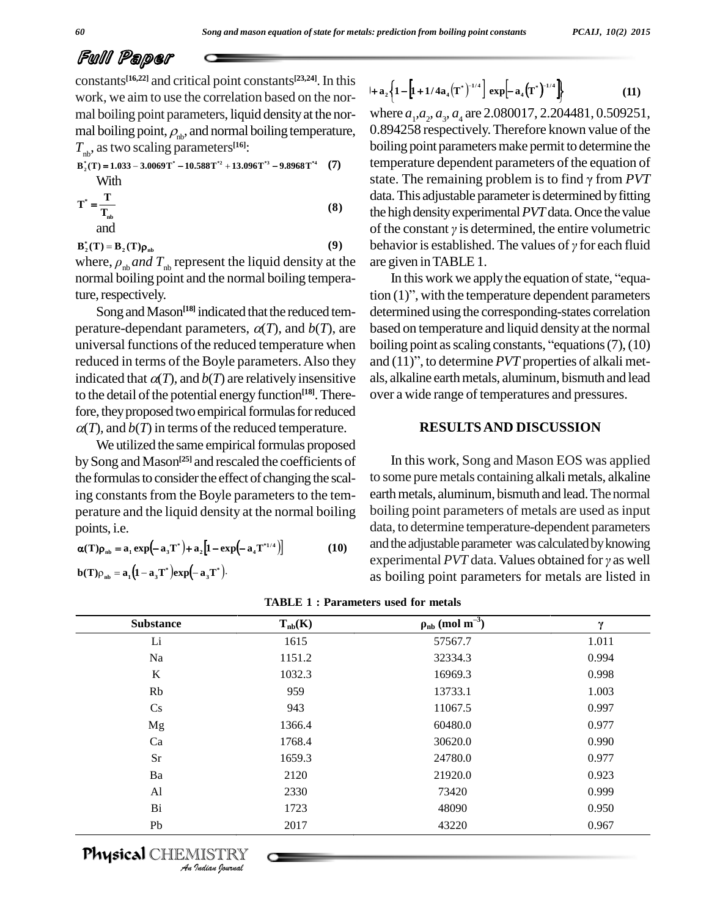constants<sup>[16,22]</sup> and critical point constants<sup>[23,24]</sup>. In this work, we aim to use the correlation based on the normal boiling point parameters, liquid density at the normal boiling point,  $\rho_{\rm nb}$ , and normal boiling temperature,  $T_{\text{nb}}$ , as two scaling parameters<sup>[16]</sup>:

$$
B_2^*(T) = 1.033 - 3.0069T^* - 10.588T^{*2} + 13.096T^{*3} - 9.8968T^{*4}
$$
 (7)  
With

$$
T^* = \frac{1}{T_{ab}}
$$
 (8)

 $B_2^*(T) = B_2(T)\rho_{ab}$  $(9)$ where,  $\rho_{\rm nb}$  and  $T_{\rm nb}$  represent the liquid density at the normal boiling point and the normal boiling temperature, respectively.

Song and Mason<sup>[18]</sup> indicated that the reduced temperature-dependant parameters,  $\alpha(T)$ , and  $\alpha(T)$ , are universal functions of the reduced temperature when reduced in terms of the Boyle parameters. Also they indicated that  $\alpha(T)$ , and  $b(T)$  are relatively insensitive to the detail of the potential energy function<sup>[18]</sup>. Therefore, they proposed two empirical formulas for reduced  $\alpha(T)$ , and  $\alpha(T)$  in terms of the reduced temperature.

We utilized the same empirical formulas proposed by Song and Mason<sup>[25]</sup> and rescaled the coefficients of the formulas to consider the effect of changing the scaling constants from the Boyle parameters to the temperature and the liquid density at the normal boiling points, i.e.

$$
\alpha(\mathbf{T})\rho_{\rm nb} = \mathbf{a}_1 \exp\left(-\mathbf{a}_3 \mathbf{T}^*\right) + \mathbf{a}_2 \left[1 - \exp\left(-\mathbf{a}_4 \mathbf{T}^{*1/4}\right)\right] \tag{10}
$$

$$
\mathbf{b}(\mathbf{T})\rho_{\mathbf{nb}} = \mathbf{a}_1(\mathbf{1} - \mathbf{a}_3\mathbf{T}^*)\mathbf{exp}(-\mathbf{a}_3\mathbf{T}^*)
$$

$$
1+a_2\left\{1-\left[1+1/4a_4(T^*)^{-1/4}\right] \exp[-a_4(T^*)^{-1/4}]\right\}
$$
 (11)

where  $a_{1}, a_{2}, a_{3}, a_{4}$  are 2.080017, 2.204481, 0.509251, 0.894258 respectively. Therefore known value of the boiling point parameters make permit to determine the temperature dependent parameters of the equation of state. The remaining problem is to find  $\gamma$  from PVT data. This adjustable parameter is determined by fitting the high density experimental PVT data. Once the value of the constant  $\gamma$  is determined, the entire volumetric behavior is established. The values of  $\gamma$  for each fluid are given in TABLE 1.

In this work we apply the equation of state, "equa- $\pi$  tion  $(1)$ ", with the temperature dependent parameters determined using the corresponding-states correlation based on temperature and liquid density at the normal boiling point as scaling constants, "equations  $(7)$ ,  $(10)$ and  $(11)$ ", to determine *PVT* properties of alkali metals, alkaline earth metals, aluminum, bismuth and lead over a wide range of temperatures and pressures.

#### **RESULTS AND DISCUSSION**

In this work, Song and Mason EOS was applied to some pure metals containing alkali metals, alkaline earth metals, aluminum, bismuth and lead. The normal boiling point parameters of metals are used as input data, to determine temperature-dependent parameters and the adjustable parameter was calculated by knowing experimental  $PVT$  data. Values obtained for  $\gamma$  as well as boiling point parameters for metals are listed in

| <b>Substance</b> | $T_{nb}(K)$ | $\rho_{\rm nb}$ (mol m <sup>-3</sup> ) | γ     |
|------------------|-------------|----------------------------------------|-------|
| Li               | 1615        | 57567.7                                | 1.011 |
| Na               | 1151.2      | 32334.3                                | 0.994 |
| $\bf K$          | 1032.3      | 16969.3                                | 0.998 |
| Rb               | 959         | 13733.1                                | 1.003 |
| $\mathbf{C}$ s   | 943         | 11067.5                                | 0.997 |
| Mg               | 1366.4      | 60480.0                                | 0.977 |
| Ca               | 1768.4      | 30620.0                                | 0.990 |
| Sr               | 1659.3      | 24780.0                                | 0.977 |
| Ba               | 2120        | 21920.0                                | 0.923 |
| A <sub>1</sub>   | 2330        | 73420                                  | 0.999 |
| Bi               | 1723        | 48090                                  | 0.950 |
| Pb               | 2017        | 43220                                  | 0.967 |

|  |  | <b>TABLE 1: Parameters used for metals</b> |  |  |  |
|--|--|--------------------------------------------|--|--|--|
|--|--|--------------------------------------------|--|--|--|

**Physical** CHEMISTRY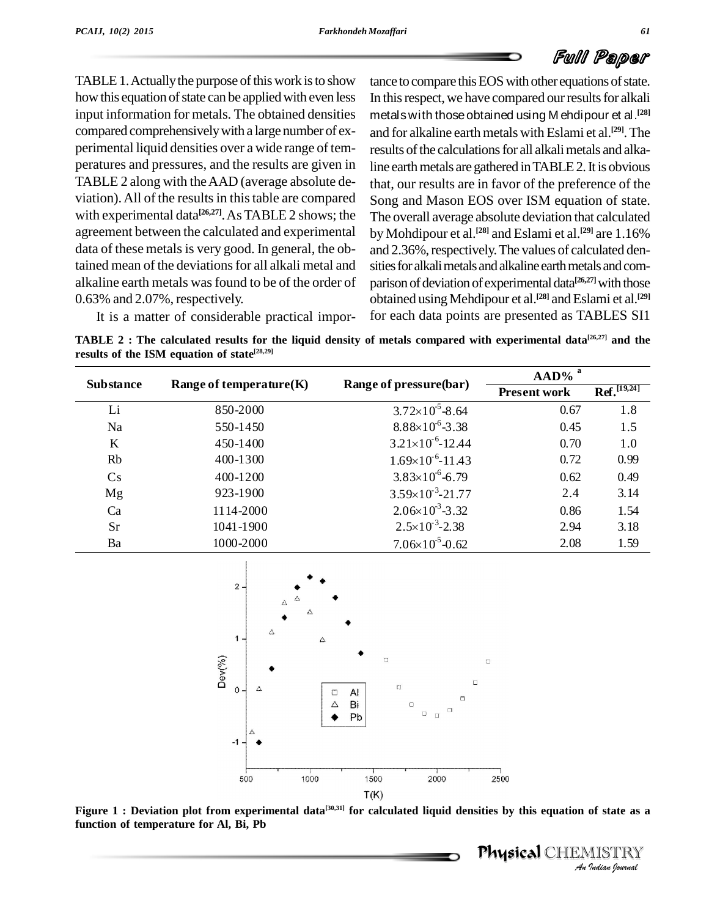TABLE 1. Actually the purpose of this work is to show how this equation of state can be applied with even less input information for metals. The obtained densities compared comprehensivelywith a large number of ex perimental liquid densities over a wide range of tem peratures and pressures, and the results are given in TABLE 2 along with theAAD (average absolute de viation). All of the results in this table are compared with experimental data<sup>[26,27]</sup>. As TABLE 2 shows; the The o agreement between the calculated and experimental data of these metals is very good. In general, the obtained mean of the deviations for all alkali metal and alkaline earth metals wasfound to be of the order of 0.63% and 2.07%, respectively.

tance to compare this EOS with other equations of state. In this respect, we have compared our results for alkali metalswith thoseobtained using M ehdipour et al. **[28]** and for alkaline earth metals with Eslami et al.<sup>[29]</sup>. The results of the calculations for all alkali metals and alkaline earth metals are gathered in TABLE 2. It is obvious that, our results are in favor of the preference of the Song and Mason EOS over ISM equation of state. The overall average absolute deviation that calculated by Mohdipour et al. **[28]** and Eslami et al. **[29]** are 1.16% and 2.36%, respectively. The values of calculated densities for alkali metals and alkaline earth metals and comparison of deviation of experimental data<sup>[26,27]</sup> with those obtained usingMehdipour et al. **[28]** andEslami et al. **[29]** for each data points are presented as TABLES SI1

It is a matter of considerable practical impor-

TABLE 2 : The calculated results for the liquid density of metals compared with experimental data<sup>[26,27]</sup> and the **results of the ISM equation of state [28,29]**

|                  |                            |                               | $\bf{AAD\%}$ <sup>a</sup> |                         |  |
|------------------|----------------------------|-------------------------------|---------------------------|-------------------------|--|
| <b>Substance</b> | Range of temperature $(K)$ | Range of pressure(bar)        | <b>Present work</b>       | Ref. <sup>[19,24]</sup> |  |
| Li               | 850-2000                   | $3.72\times10^{5} - 8.64$     | 0.67                      | 1.8                     |  |
| Na               | 550-1450                   | $8.88 \times 10^{-6} - 3.38$  | 0.45                      | 1.5                     |  |
| K                | 450-1400                   | $3.21 \times 10^{-6} - 12.44$ | 0.70                      | 1.0                     |  |
| Rb               | 400-1300                   | $1.69\times10^{-6}$ -11.43    | 0.72                      | 0.99                    |  |
| Cs               | 400-1200                   | $3.83\times10^{6} - 6.79$     | 0.62                      | 0.49                    |  |
| Mg               | 923-1900                   | $3.59\times10^{-3}$ -21.77    | 2.4                       | 3.14                    |  |
| Ca               | 1114-2000                  | $2.06\times10^{3}$ -3.32      | 0.86                      | 1.54                    |  |
| <b>Sr</b>        | 1041-1900                  | $2.5 \times 10^{-3} - 2.38$   | 2.94                      | 3.18                    |  |
| Ba               | 1000-2000                  | $7.06\times10^{5} - 0.62$     | 2.08                      | 1.59                    |  |



Figure 1 : Deviation plot from experimental data<sup>[30,31]</sup> for calculated liquid densities by this equation of state as a **function of temperature for Al, Bi, Pb**

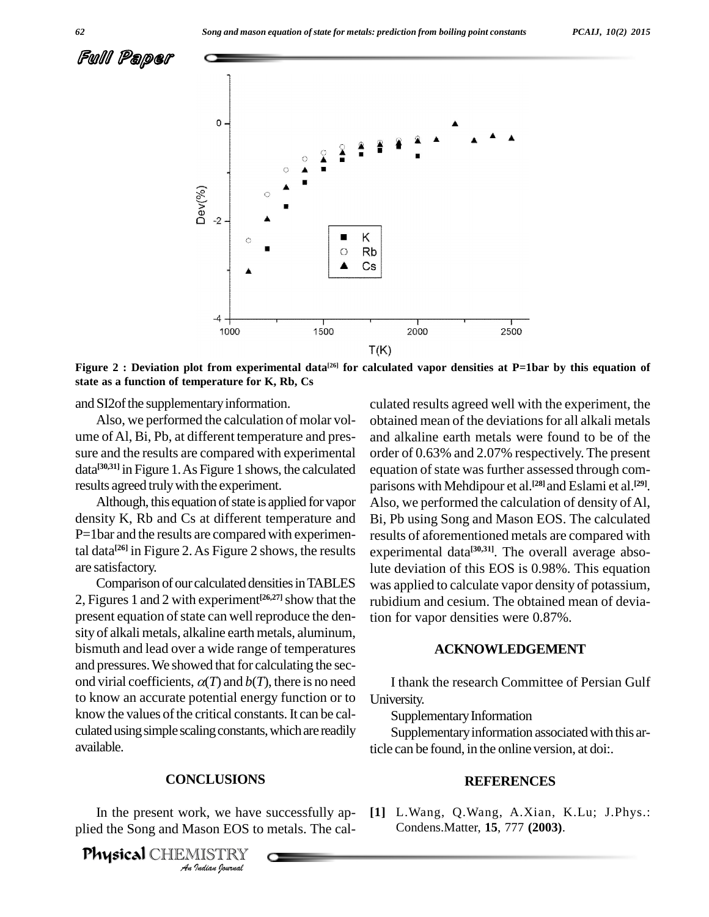

Figure 2 : Deviation plot from experimental data<sup>[26]</sup> for calculated vapor densities at P=1bar by this equation of **state as a function of temperature for K, Rb, Cs**

and SI2of the supplementary information.

Also, we performed the calculation of molar vol ume ofAl, Bi, Pb, at different temperature and pres sure and the results are compared with experimental data<sup>[30,31]</sup> in Figure 1. As Figure 1 shows, the calculated equation results agreed truly with the experiment.

Although, this equation of state is applied for vapor density K, Rb and Cs at different temperature and P=1bar and the results are compared with experimental data<sup>[26]</sup> in Figure 2. As Figure 2 shows, the results expe are satisfactory.

Comparison of our calculated densities in TABLES 2, Figures 1 and 2 with experiment<sup>[26,27]</sup> show that the rubiding present equation of state can well reproduce the density of alkali metals, alkaline earth metals, aluminum, bismuth and lead over a wide range of temperatures and pressures. We showed that for calculating the second virial coefficients,  $\alpha(T)$  and  $\delta(T)$ , there is no need to know an accurate potential energy function or to know the values of the critical constants. It can be calculated using simple scaling constants, which are readily available.

## **CONCLUSIONS**

*ICLUSIONS*<br>*Indian* EOS to<br>*IISTRY*<br>*Indian Ipurnal* In the present work, we have successfully ap plied the Song and Mason EOS to metals. The cal-

Physical CHEMISTRY

culated results agreed well with the experiment, the obtained mean of the deviationsfor all alkali metals and alkaline earth metals were found to be of the order of 0.63% and 2.07% respectively. The present equation of state was further assessed through comparisons with Mehdipour et al. **[28]**and Eslami et al. **[29]**. Also, we performed the calculation of density of Al, Bi, Pb using Song and Mason EOS. The calculated results of aforementioned metals are compared with experimental data<sup>[30,31]</sup>. The overall average absolute deviation of this EOS is 0.98%. This equation was applied to calculate vapor density of potassium, rubidium and cesium. The obtained mean of deviation for vapor densities were 0.87%.

#### **ACKNOWLEDGEMENT**

I thank the research Committee of Persian Gulf University.

Supplementary Information

Supplementary information associated with this article can be found, in the online version, at doi:.

#### **REFERENCES**

**[1]** L.Wang, Q.Wang, A.Xian, K.Lu; J.Phys.: Condens.Matter, **15**, 777 **(2003)**.